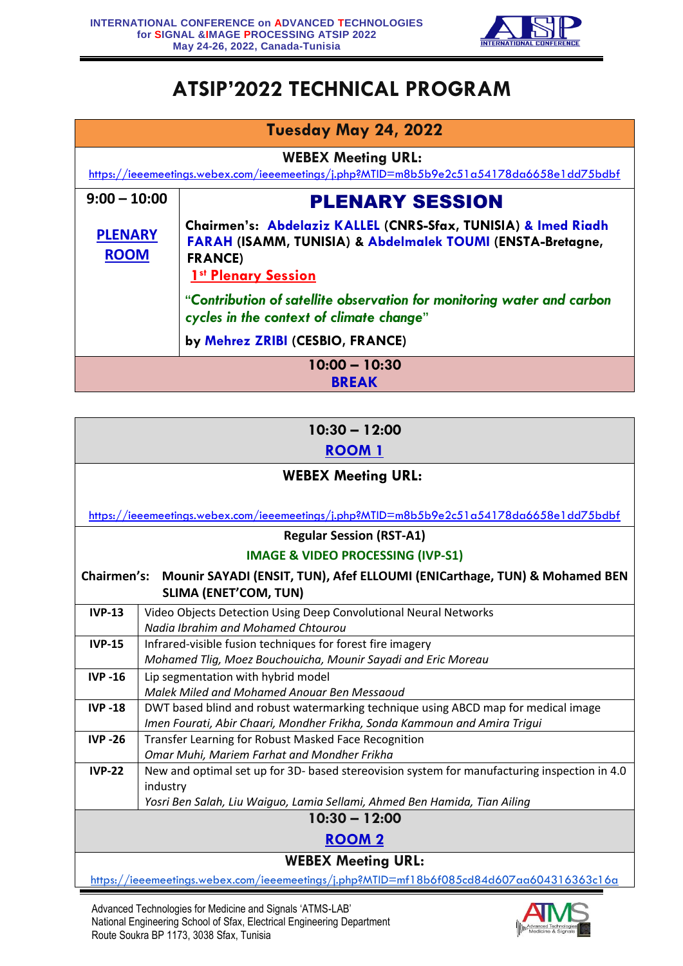

## **ATSIP'2022 TECHNICAL PROGRAM**

| Tuesday May 24, 2022<br><b>WEBEX Meeting URL:</b><br>https://ieeemeetings.webex.com/ieeemeetings/j.php?MTID=m8b5b9e2c51a54178da6658e1dd75bdbf |                                                                                                                                                                                         |
|-----------------------------------------------------------------------------------------------------------------------------------------------|-----------------------------------------------------------------------------------------------------------------------------------------------------------------------------------------|
|                                                                                                                                               |                                                                                                                                                                                         |
| <b>PLENARY</b><br><b>ROOM</b>                                                                                                                 | Chairmen's: Abdelaziz KALLEL (CNRS-Sfax, TUNISIA) & Imed Riadh<br><b>FARAH (ISAMM, TUNISIA) &amp; Abdelmalek TOUMI (ENSTA-Bretagne,</b><br><b>FRANCE)</b><br><b>1st Plenary Session</b> |
|                                                                                                                                               | "Contribution of satellite observation for monitoring water and carbon<br>cycles in the context of climate change"                                                                      |
|                                                                                                                                               | by Mehrez ZRIBI (CESBIO, FRANCE)                                                                                                                                                        |
| $10:00 - 10:30$<br><b>BREAK</b>                                                                                                               |                                                                                                                                                                                         |

| $10:30 - 12:00$                                                                          |                                                                                              |  |
|------------------------------------------------------------------------------------------|----------------------------------------------------------------------------------------------|--|
| <b>ROOM 1</b>                                                                            |                                                                                              |  |
| <b>WEBEX Meeting URL:</b>                                                                |                                                                                              |  |
|                                                                                          |                                                                                              |  |
| https://ieeemeetings.webex.com/ieeemeetings/j.php?MTID=m8b5b9e2c51a54178da6658e1dd75bdbf |                                                                                              |  |
| <b>Regular Session (RST-A1)</b>                                                          |                                                                                              |  |
| <b>IMAGE &amp; VIDEO PROCESSING (IVP-S1)</b>                                             |                                                                                              |  |
| Chairmen's: Mounir SAYADI (ENSIT, TUN), Afef ELLOUMI (ENICarthage, TUN) & Mohamed BEN    |                                                                                              |  |
| <b>SLIMA (ENET'COM, TUN)</b>                                                             |                                                                                              |  |
| <b>IVP-13</b>                                                                            | Video Objects Detection Using Deep Convolutional Neural Networks                             |  |
|                                                                                          | Nadia Ibrahim and Mohamed Chtourou                                                           |  |
| <b>IVP-15</b>                                                                            | Infrared-visible fusion techniques for forest fire imagery                                   |  |
|                                                                                          | Mohamed Tlig, Moez Bouchouicha, Mounir Sayadi and Eric Moreau                                |  |
| <b>IVP-16</b>                                                                            | Lip segmentation with hybrid model                                                           |  |
|                                                                                          | Malek Miled and Mohamed Anouar Ben Messaoud                                                  |  |
| <b>IVP-18</b>                                                                            | DWT based blind and robust watermarking technique using ABCD map for medical image           |  |
|                                                                                          | Imen Fourati, Abir Chaari, Mondher Frikha, Sonda Kammoun and Amira Triqui                    |  |
| <b>IVP-26</b>                                                                            | Transfer Learning for Robust Masked Face Recognition                                         |  |
|                                                                                          | Omar Muhi, Mariem Farhat and Mondher Frikha                                                  |  |
| <b>IVP-22</b>                                                                            | New and optimal set up for 3D- based stereovision system for manufacturing inspection in 4.0 |  |
|                                                                                          | industry                                                                                     |  |
|                                                                                          | Yosri Ben Salah, Liu Waiguo, Lamia Sellami, Ahmed Ben Hamida, Tian Ailing                    |  |
|                                                                                          | $10:30 - 12:00$                                                                              |  |
| <b>ROOM2</b>                                                                             |                                                                                              |  |
| <b>WEBEX Meeting URL:</b>                                                                |                                                                                              |  |
|                                                                                          | https://ieeemeetings.webex.com/ieeemeetings/j.php?MTID=mf18b6f085cd84d607aa604316363c16a     |  |

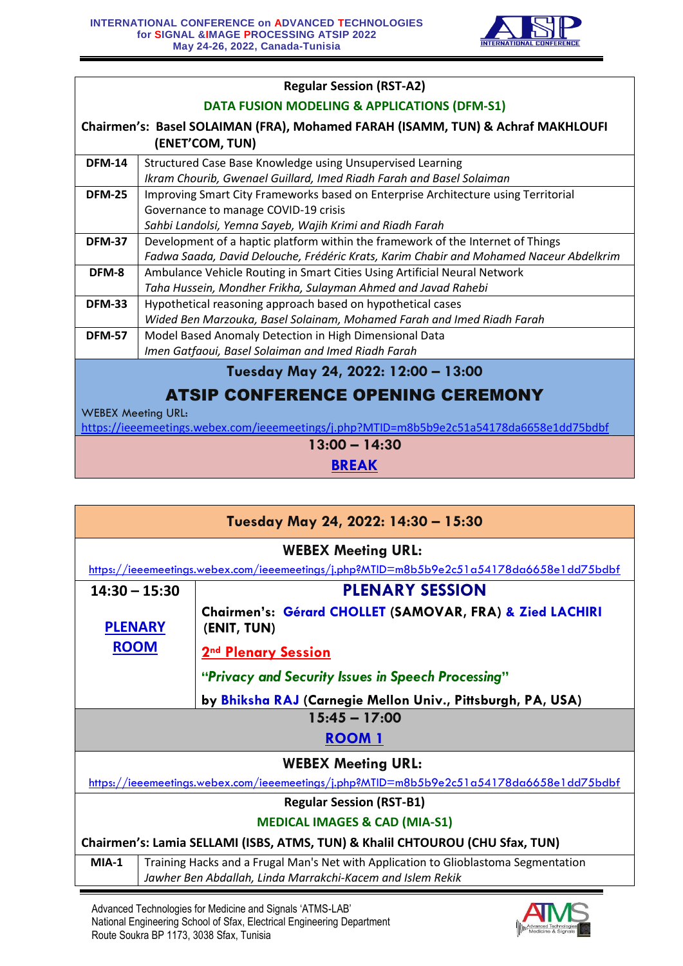

| <b>Regular Session (RST-A2)</b>                                                          |                                                                                        |  |
|------------------------------------------------------------------------------------------|----------------------------------------------------------------------------------------|--|
| <b>DATA FUSION MODELING &amp; APPLICATIONS (DFM-S1)</b>                                  |                                                                                        |  |
|                                                                                          | Chairmen's: Basel SOLAIMAN (FRA), Mohamed FARAH (ISAMM, TUN) & Achraf MAKHLOUFI        |  |
|                                                                                          | (ENET'COM, TUN)                                                                        |  |
| <b>DFM-14</b>                                                                            | Structured Case Base Knowledge using Unsupervised Learning                             |  |
|                                                                                          | Ikram Chourib, Gwenael Guillard, Imed Riadh Farah and Basel Solaiman                   |  |
| <b>DFM-25</b>                                                                            | Improving Smart City Frameworks based on Enterprise Architecture using Territorial     |  |
|                                                                                          | Governance to manage COVID-19 crisis                                                   |  |
|                                                                                          | Sahbi Landolsi, Yemna Sayeb, Wajih Krimi and Riadh Farah                               |  |
| <b>DFM-37</b>                                                                            | Development of a haptic platform within the framework of the Internet of Things        |  |
|                                                                                          | Fadwa Saada, David Delouche, Frédéric Krats, Karim Chabir and Mohamed Naceur Abdelkrim |  |
| DFM-8                                                                                    | Ambulance Vehicle Routing in Smart Cities Using Artificial Neural Network              |  |
|                                                                                          | Taha Hussein, Mondher Frikha, Sulayman Ahmed and Javad Rahebi                          |  |
| <b>DFM-33</b>                                                                            | Hypothetical reasoning approach based on hypothetical cases                            |  |
|                                                                                          | Wided Ben Marzouka, Basel Solainam, Mohamed Farah and Imed Riadh Farah                 |  |
| <b>DFM-57</b>                                                                            | Model Based Anomaly Detection in High Dimensional Data                                 |  |
|                                                                                          | Imen Gatfaoui, Basel Solaiman and Imed Riadh Farah                                     |  |
|                                                                                          | Tuesday May 24, 2022: 12:00 - 13:00                                                    |  |
| <b>ATSIP CONFERENCE OPENING CEREMONY</b>                                                 |                                                                                        |  |
| <b>WEBEX Meeting URL:</b>                                                                |                                                                                        |  |
| https://ieeemeetings.webex.com/ieeemeetings/j.php?MTID=m8b5b9e2c51a54178da6658e1dd75bdbf |                                                                                        |  |
| $13:00 - 14:30$                                                                          |                                                                                        |  |
| <b>BREAK</b>                                                                             |                                                                                        |  |

| Tuesday May 24, 2022: 14:30 - 15:30                                           |                                                                                                                                                   |  |
|-------------------------------------------------------------------------------|---------------------------------------------------------------------------------------------------------------------------------------------------|--|
| <b>WEBEX Meeting URL:</b>                                                     |                                                                                                                                                   |  |
|                                                                               | https://ieeemeetings.webex.com/ieeemeetings/j.php?MTID=m8b5b9e2c51a54178da6658e1dd75bdbf                                                          |  |
| $14:30 - 15:30$                                                               | <b>PLENARY SESSION</b>                                                                                                                            |  |
| <b>PLENARY</b>                                                                | Chairmen's: Gérard CHOLLET (SAMOVAR, FRA) & Zied LACHIRI<br>(ENIT, TUN)                                                                           |  |
| <b>ROOM</b>                                                                   | <b>2nd Plenary Session</b>                                                                                                                        |  |
|                                                                               | "Privacy and Security Issues in Speech Processing"                                                                                                |  |
|                                                                               | by Bhiksha RAJ (Carnegie Mellon Univ., Pittsburgh, PA, USA)                                                                                       |  |
| $15:45 - 17:00$                                                               |                                                                                                                                                   |  |
|                                                                               | <b>ROOM 1</b>                                                                                                                                     |  |
|                                                                               | <b>WEBEX Meeting URL:</b>                                                                                                                         |  |
|                                                                               | https://ieeemeetings.webex.com/ieeemeetings/j.php?MTID=m8b5b9e2c51a54178da6658e1dd75bdbf                                                          |  |
| <b>Regular Session (RST-B1)</b>                                               |                                                                                                                                                   |  |
| <b>MEDICAL IMAGES &amp; CAD (MIA-S1)</b>                                      |                                                                                                                                                   |  |
| Chairmen's: Lamia SELLAMI (ISBS, ATMS, TUN) & Khalil CHTOUROU (CHU Sfax, TUN) |                                                                                                                                                   |  |
| $MIA-1$                                                                       | Training Hacks and a Frugal Man's Net with Application to Glioblastoma Segmentation<br>Jawher Ben Abdallah, Linda Marrakchi-Kacem and Islem Rekik |  |

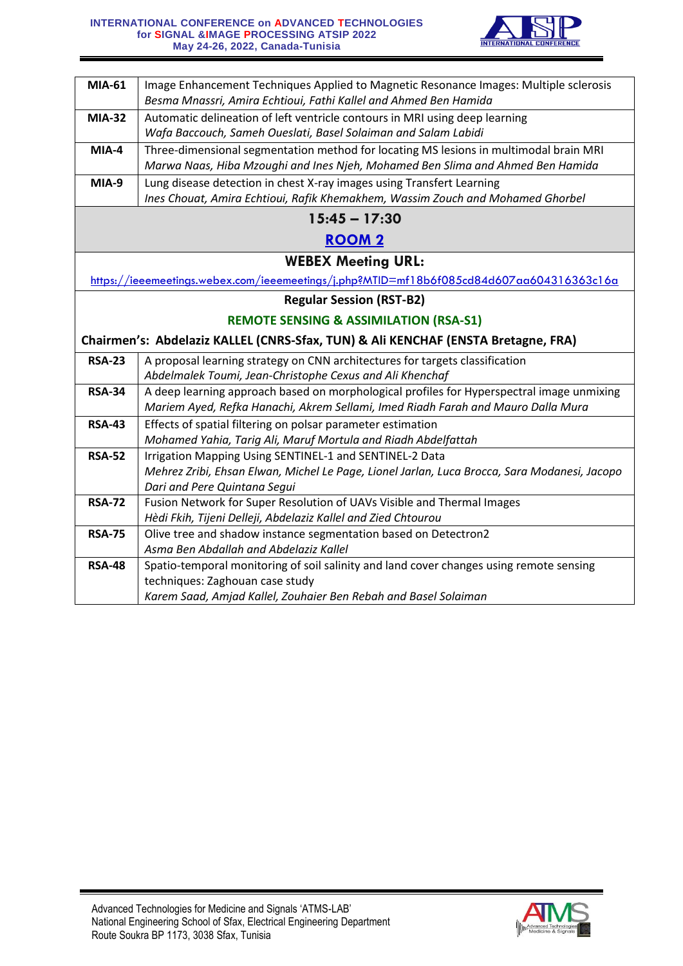

| Image Enhancement Techniques Applied to Magnetic Resonance Images: Multiple sclerosis<br>Besma Mnassri, Amira Echtioui, Fathi Kallel and Ahmed Ben Hamida |  |
|-----------------------------------------------------------------------------------------------------------------------------------------------------------|--|
|                                                                                                                                                           |  |
| Automatic delineation of left ventricle contours in MRI using deep learning                                                                               |  |
| Wafa Baccouch, Sameh Oueslati, Basel Solaiman and Salam Labidi                                                                                            |  |
| Three-dimensional segmentation method for locating MS lesions in multimodal brain MRI                                                                     |  |
| Marwa Naas, Hiba Mzoughi and Ines Njeh, Mohamed Ben Slima and Ahmed Ben Hamida                                                                            |  |
| Lung disease detection in chest X-ray images using Transfert Learning                                                                                     |  |
| Ines Chouat, Amira Echtioui, Rafik Khemakhem, Wassim Zouch and Mohamed Ghorbel                                                                            |  |
| $15:45 - 17:30$                                                                                                                                           |  |
| <b>ROOM 2</b>                                                                                                                                             |  |
| <b>WEBEX Meeting URL:</b>                                                                                                                                 |  |
| https://ieeemeetings.webex.com/ieeemeetings/j.php?MTID=mf18b6f085cd84d607aa604316363c16a                                                                  |  |
| <b>Regular Session (RST-B2)</b>                                                                                                                           |  |
| <b>REMOTE SENSING &amp; ASSIMILATION (RSA-S1)</b>                                                                                                         |  |
| Chairmen's: Abdelaziz KALLEL (CNRS-Sfax, TUN) & Ali KENCHAF (ENSTA Bretagne, FRA)                                                                         |  |
| A proposal learning strategy on CNN architectures for targets classification                                                                              |  |
| Abdelmalek Toumi, Jean-Christophe Cexus and Ali Khenchaf                                                                                                  |  |
| A deep learning approach based on morphological profiles for Hyperspectral image unmixing                                                                 |  |
| Mariem Ayed, Refka Hanachi, Akrem Sellami, Imed Riadh Farah and Mauro Dalla Mura                                                                          |  |
| Effects of spatial filtering on polsar parameter estimation                                                                                               |  |
|                                                                                                                                                           |  |
| Mohamed Yahia, Tarig Ali, Maruf Mortula and Riadh Abdelfattah                                                                                             |  |
| Irrigation Mapping Using SENTINEL-1 and SENTINEL-2 Data                                                                                                   |  |
| Mehrez Zribi, Ehsan Elwan, Michel Le Page, Lionel Jarlan, Luca Brocca, Sara Modanesi, Jacopo                                                              |  |
| Dari and Pere Quintana Segui                                                                                                                              |  |
| Fusion Network for Super Resolution of UAVs Visible and Thermal Images                                                                                    |  |
| Hèdi Fkih, Tijeni Delleji, Abdelaziz Kallel and Zied Chtourou                                                                                             |  |
| Olive tree and shadow instance segmentation based on Detectron2                                                                                           |  |
| Asma Ben Abdallah and Abdelaziz Kallel                                                                                                                    |  |
| Spatio-temporal monitoring of soil salinity and land cover changes using remote sensing                                                                   |  |
| techniques: Zaghouan case study                                                                                                                           |  |
| Karem Saad, Amjad Kallel, Zouhaier Ben Rebah and Basel Solaiman                                                                                           |  |
|                                                                                                                                                           |  |

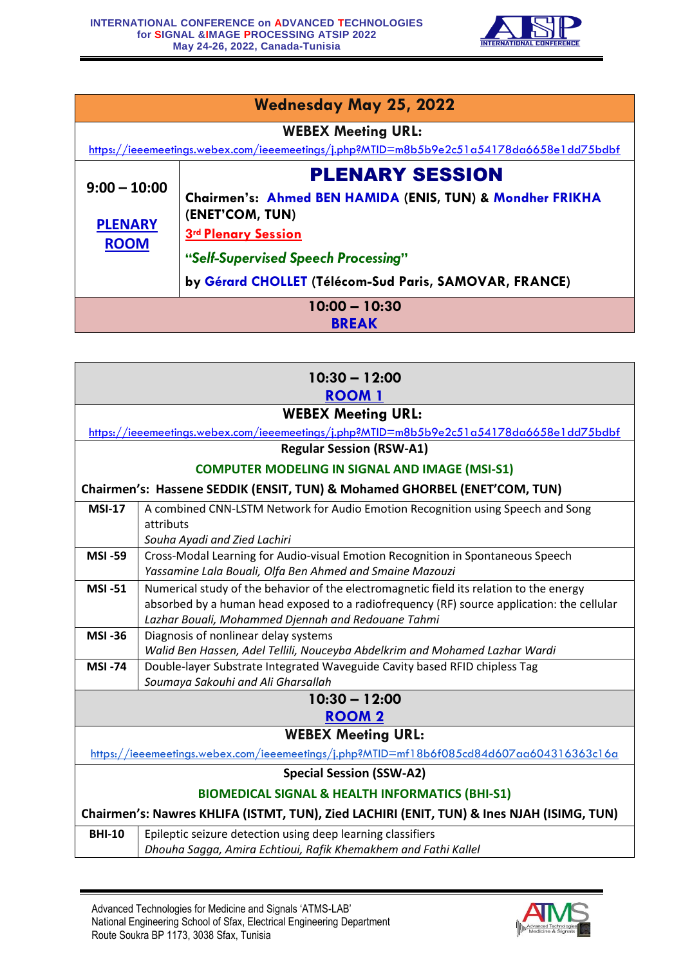

| <b>Wednesday May 25, 2022</b>                                                            |                                                           |  |
|------------------------------------------------------------------------------------------|-----------------------------------------------------------|--|
|                                                                                          | <b>WEBEX Meeting URL:</b>                                 |  |
| https://ieeemeetings.webex.com/ieeemeetings/j.php?MTID=m8b5b9e2c51a54178da6658e1dd75bdbf |                                                           |  |
| $9:00 - 10:00$                                                                           | <b>PLENARY SESSION</b>                                    |  |
|                                                                                          | Chairmen's: Ahmed BEN HAMIDA (ENIS, TUN) & Mondher FRIKHA |  |
| <b>PLENARY</b>                                                                           | (ENET'COM, TUN)                                           |  |
| <b>ROOM</b>                                                                              | <b>3rd Plenary Session</b>                                |  |
|                                                                                          | "Self-Supervised Speech Processing"                       |  |
|                                                                                          | by Gérard CHOLLET (Télécom-Sud Paris, SAMOVAR, FRANCE)    |  |
| $10:00 - 10:30$                                                                          |                                                           |  |
| <b>BREAK</b>                                                                             |                                                           |  |

| $10:30 - 12:00$<br><b>ROOM 1</b>                                                          |                                                                                                                                                           |
|-------------------------------------------------------------------------------------------|-----------------------------------------------------------------------------------------------------------------------------------------------------------|
| <b>WEBEX Meeting URL:</b>                                                                 |                                                                                                                                                           |
|                                                                                           | https://ieeemeetings.webex.com/ieeemeetings/j.php?MTID=m8b5b9e2c51a54178da6658e1dd75bdbf                                                                  |
|                                                                                           | <b>Regular Session (RSW-A1)</b>                                                                                                                           |
|                                                                                           | <b>COMPUTER MODELING IN SIGNAL AND IMAGE (MSI-S1)</b>                                                                                                     |
|                                                                                           | Chairmen's: Hassene SEDDIK (ENSIT, TUN) & Mohamed GHORBEL (ENET'COM, TUN)                                                                                 |
| <b>MSI-17</b>                                                                             | A combined CNN-LSTM Network for Audio Emotion Recognition using Speech and Song                                                                           |
|                                                                                           | attributs                                                                                                                                                 |
|                                                                                           | Souha Ayadi and Zied Lachiri                                                                                                                              |
| <b>MSI-59</b>                                                                             | Cross-Modal Learning for Audio-visual Emotion Recognition in Spontaneous Speech                                                                           |
|                                                                                           | Yassamine Lala Bouali, Olfa Ben Ahmed and Smaine Mazouzi                                                                                                  |
| <b>MSI-51</b>                                                                             | Numerical study of the behavior of the electromagnetic field its relation to the energy                                                                   |
|                                                                                           | absorbed by a human head exposed to a radiofrequency (RF) source application: the cellular                                                                |
|                                                                                           | Lazhar Bouali, Mohammed Djennah and Redouane Tahmi                                                                                                        |
| <b>MSI-36</b>                                                                             | Diagnosis of nonlinear delay systems                                                                                                                      |
| <b>MSI-74</b>                                                                             | Walid Ben Hassen, Adel Tellili, Nouceyba Abdelkrim and Mohamed Lazhar Wardi<br>Double-layer Substrate Integrated Waveguide Cavity based RFID chipless Tag |
|                                                                                           | Soumaya Sakouhi and Ali Gharsallah                                                                                                                        |
|                                                                                           | $10:30 - 12:00$                                                                                                                                           |
|                                                                                           | <b>ROOM2</b>                                                                                                                                              |
|                                                                                           | <b>WEBEX Meeting URL:</b>                                                                                                                                 |
|                                                                                           | https://ieeemeetings.webex.com/ieeemeetings/j.php?MTID=mf18b6f085cd84d607aa604316363c16a                                                                  |
|                                                                                           | <b>Special Session (SSW-A2)</b>                                                                                                                           |
| <b>BIOMEDICAL SIGNAL &amp; HEALTH INFORMATICS (BHI-S1)</b>                                |                                                                                                                                                           |
| Chairmen's: Nawres KHLIFA (ISTMT, TUN), Zied LACHIRI (ENIT, TUN) & Ines NJAH (ISIMG, TUN) |                                                                                                                                                           |
| <b>BHI-10</b>                                                                             | Epileptic seizure detection using deep learning classifiers                                                                                               |
|                                                                                           | Dhouha Sagga, Amira Echtioui, Rafik Khemakhem and Fathi Kallel                                                                                            |

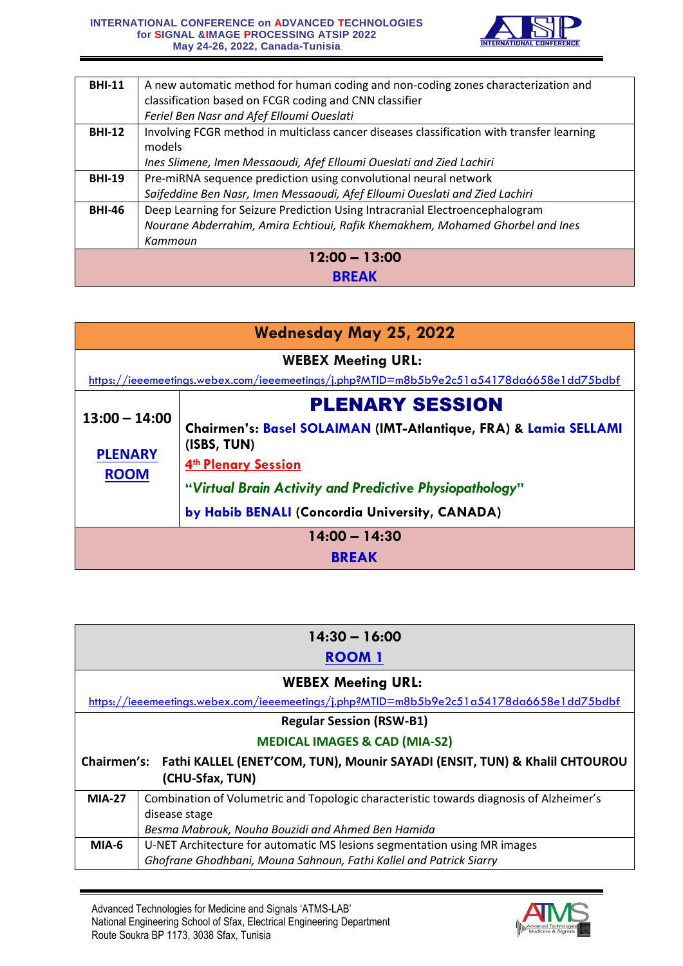

| A new automatic method for human coding and non-coding zones characterization and         |  |
|-------------------------------------------------------------------------------------------|--|
| classification based on FCGR coding and CNN classifier                                    |  |
| Feriel Ben Nasr and Afef Elloumi Oueslati                                                 |  |
| Involving FCGR method in multiclass cancer diseases classification with transfer learning |  |
| models                                                                                    |  |
| Ines Slimene, Imen Messaoudi, Afef Elloumi Oueslati and Zied Lachiri                      |  |
| Pre-miRNA sequence prediction using convolutional neural network                          |  |
| Saifeddine Ben Nasr, Imen Messaoudi, Afef Elloumi Oueslati and Zied Lachiri               |  |
| Deep Learning for Seizure Prediction Using Intracranial Electroencephalogram              |  |
| Nourane Abderrahim, Amira Echtioui, Rafik Khemakhem, Mohamed Ghorbel and Ines             |  |
| Kammoun                                                                                   |  |
| $12:00 - 13:00$                                                                           |  |
|                                                                                           |  |
|                                                                                           |  |

| <b>Wednesday May 25, 2022</b>                                                                                         |                                                                                                                                         |
|-----------------------------------------------------------------------------------------------------------------------|-----------------------------------------------------------------------------------------------------------------------------------------|
| <b>WEBEX Meeting URL:</b><br>https://ieeemeetings.webex.com/ieeemeetings/j.php?MTID=m8b5b9e2c51a54178da6658e1dd75bdbf |                                                                                                                                         |
| $13:00 - 14:00$<br><b>PLENARY</b><br><b>ROOM</b>                                                                      | <b>PLENARY SESSION</b><br>Chairmen's: Basel SOLAIMAN (IMT-Atlantique, FRA) & Lamia SELLAMI<br>(ISBS, TUN)<br><b>4th Plenary Session</b> |
|                                                                                                                       | "Virtual Brain Activity and Predictive Physiopathology"<br>by Habib BENALI (Concordia University, CANADA)                               |
| $14:00 - 14:30$<br><b>BREAK</b>                                                                                       |                                                                                                                                         |

| $14:30 - 16:00$                                                                          |                                                                                         |
|------------------------------------------------------------------------------------------|-----------------------------------------------------------------------------------------|
| <b>ROOM 1</b>                                                                            |                                                                                         |
| <b>WEBEX Meeting URL:</b>                                                                |                                                                                         |
| https://ieeemeetings.webex.com/ieeemeetings/j.php?MTID=m8b5b9e2c51a54178da6658e1dd75bdbf |                                                                                         |
| <b>Regular Session (RSW-B1)</b>                                                          |                                                                                         |
| <b>MEDICAL IMAGES &amp; CAD (MIA-S2)</b>                                                 |                                                                                         |
| Chairmen's: Fathi KALLEL (ENET'COM, TUN), Mounir SAYADI (ENSIT, TUN) & Khalil CHTOUROU   |                                                                                         |
| (CHU-Sfax, TUN)                                                                          |                                                                                         |
| <b>MIA-27</b>                                                                            | Combination of Volumetric and Topologic characteristic towards diagnosis of Alzheimer's |
|                                                                                          | disease stage                                                                           |
|                                                                                          | Besma Mabrouk, Nouha Bouzidi and Ahmed Ben Hamida                                       |
| MIA-6                                                                                    | U-NET Architecture for automatic MS lesions segmentation using MR images                |
|                                                                                          | Ghofrane Ghodhbani, Mouna Sahnoun, Fathi Kallel and Patrick Siarry                      |

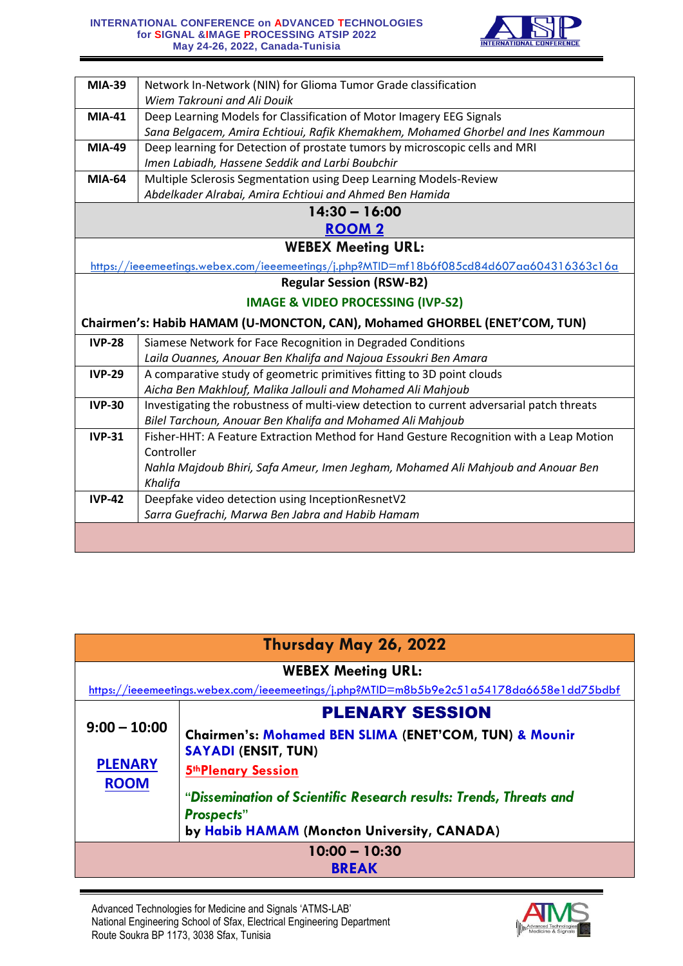

| <b>MIA-39</b>                                                                            | Network In-Network (NIN) for Glioma Tumor Grade classification                            |
|------------------------------------------------------------------------------------------|-------------------------------------------------------------------------------------------|
|                                                                                          | Wiem Takrouni and Ali Douik                                                               |
| <b>MIA-41</b>                                                                            | Deep Learning Models for Classification of Motor Imagery EEG Signals                      |
|                                                                                          | Sana Belgacem, Amira Echtioui, Rafik Khemakhem, Mohamed Ghorbel and Ines Kammoun          |
| <b>MIA-49</b>                                                                            | Deep learning for Detection of prostate tumors by microscopic cells and MRI               |
|                                                                                          | Imen Labiadh, Hassene Seddik and Larbi Boubchir                                           |
| <b>MIA-64</b>                                                                            | Multiple Sclerosis Segmentation using Deep Learning Models-Review                         |
|                                                                                          | Abdelkader Alrabai, Amira Echtioui and Ahmed Ben Hamida                                   |
|                                                                                          | $14:30 - 16:00$                                                                           |
|                                                                                          | <b>ROOM2</b>                                                                              |
| <b>WEBEX Meeting URL:</b>                                                                |                                                                                           |
| https://ieeemeetings.webex.com/ieeemeetings/j.php?MTID=mf18b6f085cd84d607aa604316363c16a |                                                                                           |
| <b>Regular Session (RSW-B2)</b>                                                          |                                                                                           |
|                                                                                          | <b>IMAGE &amp; VIDEO PROCESSING (IVP-S2)</b>                                              |
|                                                                                          | Chairmen's: Habib HAMAM (U-MONCTON, CAN), Mohamed GHORBEL (ENET'COM, TUN)                 |
| <b>IVP-28</b>                                                                            | Siamese Network for Face Recognition in Degraded Conditions                               |
|                                                                                          | Laila Ouannes, Anouar Ben Khalifa and Najoua Essoukri Ben Amara                           |
| <b>IVP-29</b>                                                                            | A comparative study of geometric primitives fitting to 3D point clouds                    |
|                                                                                          | Aicha Ben Makhlouf, Malika Jallouli and Mohamed Ali Mahjoub                               |
| <b>IVP-30</b>                                                                            | Investigating the robustness of multi-view detection to current adversarial patch threats |
|                                                                                          | Bilel Tarchoun, Anouar Ben Khalifa and Mohamed Ali Mahjoub                                |
| <b>IVP-31</b>                                                                            | Fisher-HHT: A Feature Extraction Method for Hand Gesture Recognition with a Leap Motion   |
|                                                                                          | Controller                                                                                |
|                                                                                          | Nahla Majdoub Bhiri, Safa Ameur, Imen Jegham, Mohamed Ali Mahjoub and Anouar Ben          |
|                                                                                          | Khalifa                                                                                   |
| <b>IVP-42</b>                                                                            | Deepfake video detection using InceptionResnetV2                                          |
|                                                                                          | Sarra Guefrachi, Marwa Ben Jabra and Habib Hamam                                          |
|                                                                                          |                                                                                           |
|                                                                                          |                                                                                           |

| Thursday May 26, 2022            |                                                                                                                                         |
|----------------------------------|-----------------------------------------------------------------------------------------------------------------------------------------|
| <b>WEBEX Meeting URL:</b>        |                                                                                                                                         |
|                                  | https://ieeemeetings.webex.com/ieeemeetings/j.php?MTID=m8b5b9e2c51a54178da6658e1dd75bdbf                                                |
|                                  | <b>PLENARY SESSION</b>                                                                                                                  |
| $9:00 - 10:00$<br><b>PLENARY</b> | <b>Chairmen's: Mohamed BEN SLIMA (ENET'COM, TUN) &amp; Mounir</b><br><b>SAYADI (ENSIT, TUN)</b><br><b>5th Plenary Session</b>           |
| <b>ROOM</b>                      | "Dissemination of Scientific Research results: Trends, Threats and<br><b>Prospects</b> "<br>by Habib HAMAM (Moncton University, CANADA) |
| $10:00 - 10:30$<br><b>BREAK</b>  |                                                                                                                                         |